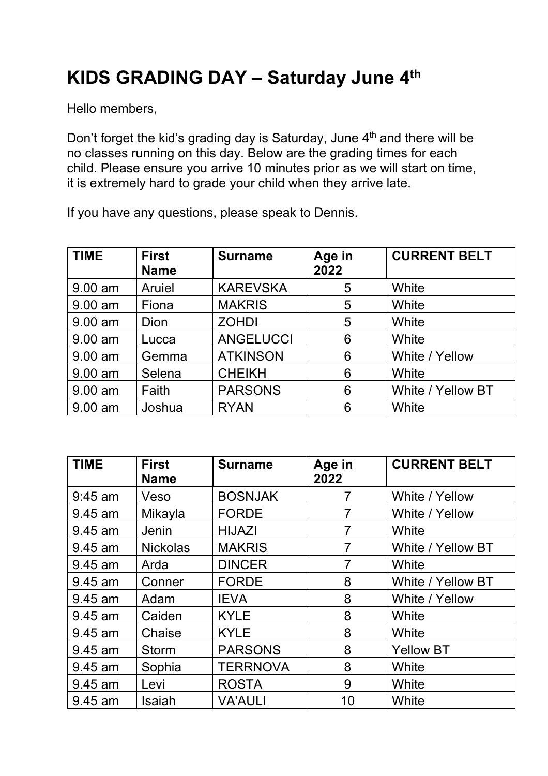## **KIDS GRADING DAY – Saturday June 4th**

Hello members,

Don't forget the kid's grading day is Saturday, June 4<sup>th</sup> and there will be no classes running on this day. Below are the grading times for each child. Please ensure you arrive 10 minutes prior as we will start on time, it is extremely hard to grade your child when they arrive late.

| <b>TIME</b> | <b>First</b><br><b>Name</b> | <b>Surname</b>   | Age in<br>2022 | <b>CURRENT BELT</b> |
|-------------|-----------------------------|------------------|----------------|---------------------|
| $9.00$ am   | Aruiel                      | <b>KAREVSKA</b>  | 5              | White               |
| 9.00 am     | Fiona                       | <b>MAKRIS</b>    | 5              | White               |
| $9.00$ am   | <b>Dion</b>                 | <b>ZOHDI</b>     | 5              | White               |
| $9.00$ am   | Lucca                       | <b>ANGELUCCI</b> | 6              | White               |
| $9.00$ am   | Gemma                       | <b>ATKINSON</b>  | 6              | White / Yellow      |
| $9.00$ am   | Selena                      | <b>CHEIKH</b>    | 6              | White               |
| 9.00 am     | Faith                       | <b>PARSONS</b>   | 6              | White / Yellow BT   |
| $9.00$ am   | Joshua                      | <b>RYAN</b>      | 6              | White               |

If you have any questions, please speak to Dennis.

| <b>TIME</b> | <b>First</b><br><b>Name</b> | <b>Surname</b>  | Age in<br>2022 | <b>CURRENT BELT</b> |
|-------------|-----------------------------|-----------------|----------------|---------------------|
| $9:45$ am   | Veso                        | <b>BOSNJAK</b>  | 7              | White / Yellow      |
| 9.45 am     | Mikayla                     | <b>FORDE</b>    | $\overline{7}$ | White / Yellow      |
| 9.45 am     | Jenin                       | <b>HIJAZI</b>   | $\overline{7}$ | White               |
| 9.45 am     | <b>Nickolas</b>             | <b>MAKRIS</b>   | $\overline{7}$ | White / Yellow BT   |
| 9.45 am     | Arda                        | <b>DINCER</b>   | $\overline{7}$ | White               |
| 9.45 am     | Conner                      | <b>FORDE</b>    | 8              | White / Yellow BT   |
| 9.45 am     | Adam                        | <b>IEVA</b>     | 8              | White / Yellow      |
| 9.45 am     | Caiden                      | <b>KYLE</b>     | 8              | White               |
| 9.45 am     | Chaise                      | <b>KYLE</b>     | 8              | White               |
| 9.45 am     | <b>Storm</b>                | <b>PARSONS</b>  | 8              | <b>Yellow BT</b>    |
| 9.45 am     | Sophia                      | <b>TERRNOVA</b> | 8              | White               |
| 9.45 am     | Levi                        | <b>ROSTA</b>    | 9              | White               |
| 9.45 am     | Isaiah                      | <b>VA'AULI</b>  | 10             | White               |